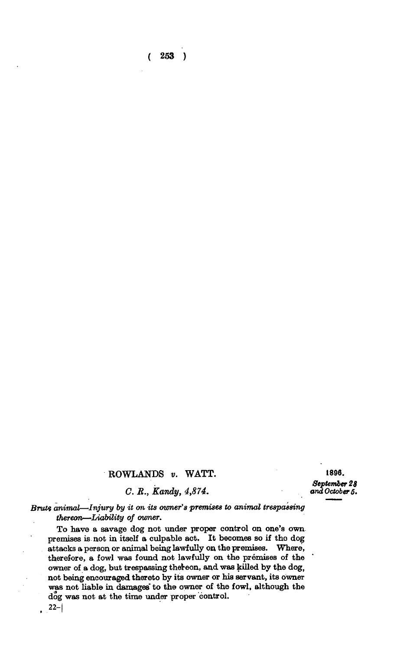**( 253 )** 

## **ROWLANDS** *v.* **WATT.**

*C. B., Kandy, 4,874.* 

**1896.**  *September 28 and October 5.* 

Brute animal—Injury by it on its owner's premises to animal trespassing *thereon—Liability of owner.* 

**To have a savage dog not under proper control on one's own premises is not in itself a culpable act. It becomes so if tho dog attacks a person or animal being lawfully on the premises. Where, therefore, a fowl was found not lawfully on the premises of the owner of a dog, but trespassing thereon, and was killed by the dog, not being encouraged thereto by its owner or his servant, its owner was not liable in damages' to the owner of the fowl, although the dog was not at the time under proper control.** 

 $22 -$